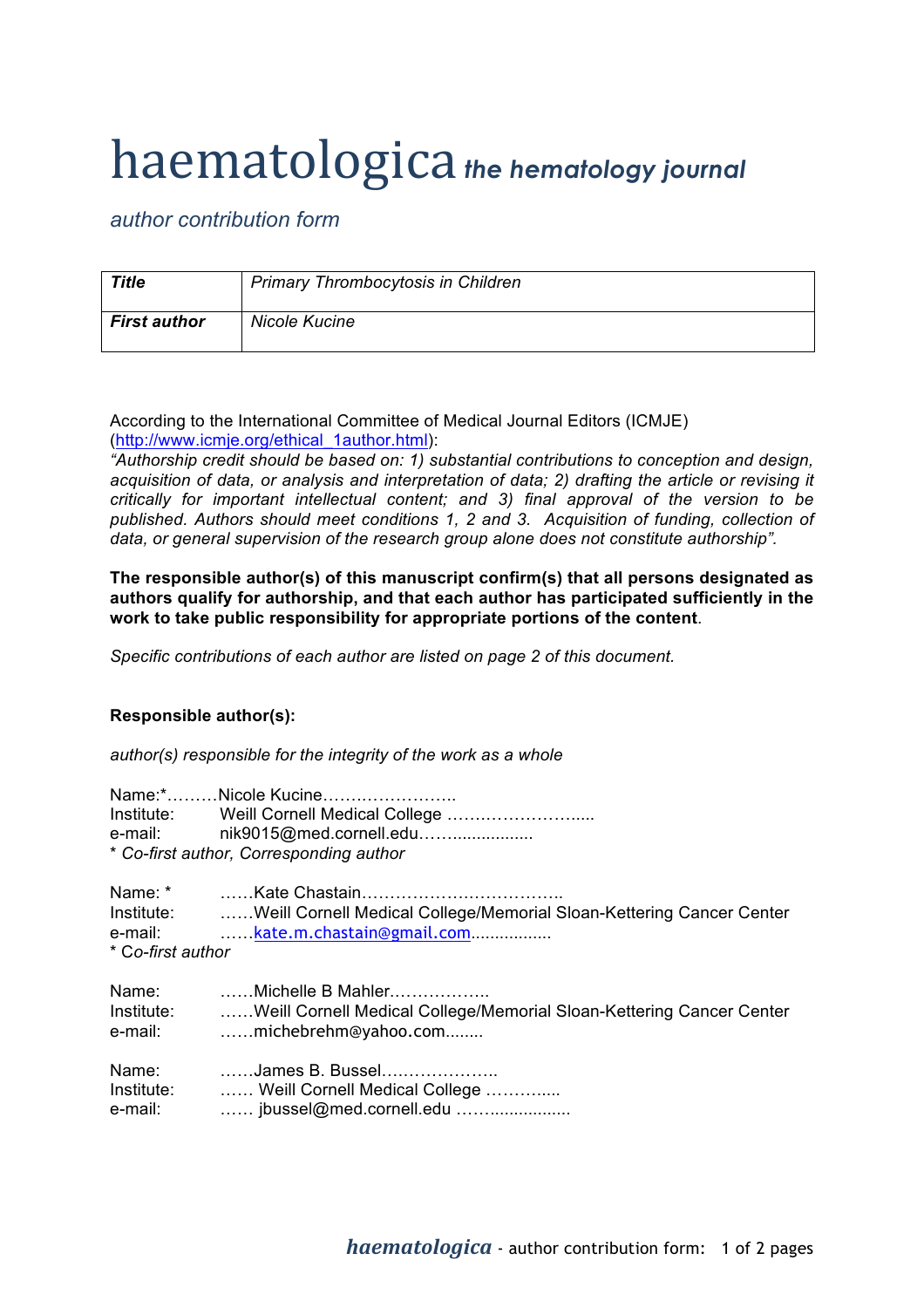## haematologica *the hematology journal*

*author contribution form*

| <b>Title</b>        | <b>Primary Thrombocytosis in Children</b> |
|---------------------|-------------------------------------------|
| <b>First author</b> | <b>Nicole Kucine</b>                      |

According to the International Committee of Medical Journal Editors (ICMJE) (http://www.icmje.org/ethical\_1author.html):

*"Authorship credit should be based on: 1) substantial contributions to conception and design, acquisition of data, or analysis and interpretation of data; 2) drafting the article or revising it critically for important intellectual content; and 3) final approval of the version to be published. Authors should meet conditions 1, 2 and 3. Acquisition of funding, collection of data, or general supervision of the research group alone does not constitute authorship".*

**The responsible author(s) of this manuscript confirm(s) that all persons designated as authors qualify for authorship, and that each author has participated sufficiently in the work to take public responsibility for appropriate portions of the content**.

*Specific contributions of each author are listed on page 2 of this document.*

## **Responsible author(s):**

*author(s) responsible for the integrity of the work as a whole*

|                   | Name:*Nicole Kucine                                                             |
|-------------------|---------------------------------------------------------------------------------|
|                   |                                                                                 |
|                   | e-mail: nik9015@med.cornell.edu                                                 |
|                   | * Co-first author, Corresponding author                                         |
|                   |                                                                                 |
|                   | Institute: Weill Cornell Medical College/Memorial Sloan-Kettering Cancer Center |
|                   | e-mail: kate.m.chastain@gmail.com                                               |
| * Co-first author |                                                                                 |
|                   | Name: Michelle B Mahler                                                         |
|                   | Institute: Weill Cornell Medical College/Memorial Sloan-Kettering Cancer Center |
|                   | e-mail: michebrehm@yahoo.com                                                    |
|                   | Name: James B. Bussel                                                           |
|                   | Institute:  Weill Cornell Medical College                                       |
| e-mail:           | jbussel@med.cornell.edu                                                         |